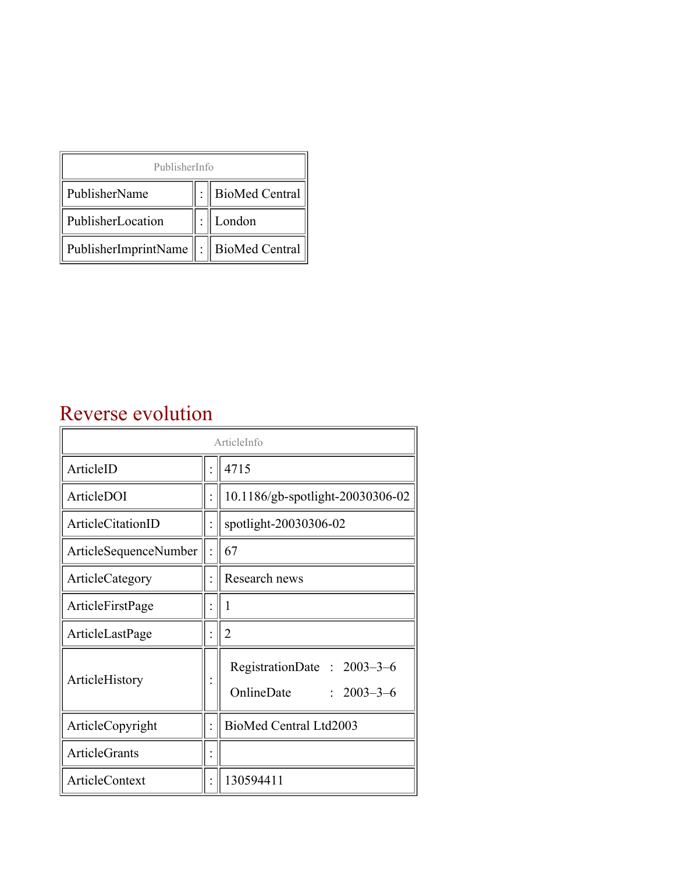| PublisherInfo                                   |  |                    |  |  |
|-------------------------------------------------|--|--------------------|--|--|
| PublisherName                                   |  | :   BioMed Central |  |  |
| PublisherLocation                               |  | London             |  |  |
| PublisherImprintName $\ \cdot\ $ BioMed Central |  |                    |  |  |

## Reverse evolution

| ArticleInfo                  |  |                                                              |
|------------------------------|--|--------------------------------------------------------------|
| ArticleID                    |  | 4715                                                         |
| ArticleDOI                   |  | 10.1186/gb-spotlight-20030306-02                             |
| ArticleCitationID            |  | spotlight-20030306-02                                        |
| <b>ArticleSequenceNumber</b> |  | 67                                                           |
| ArticleCategory              |  | Research news                                                |
| ArticleFirstPage             |  | 1                                                            |
| ArticleLastPage              |  | $\overline{2}$                                               |
| ArticleHistory               |  | RegistrationDate: 2003-3-6<br>OnlineDate<br>$: 2003 - 3 - 6$ |
| ArticleCopyright             |  | BioMed Central Ltd2003                                       |
| <b>ArticleGrants</b>         |  |                                                              |
| ArticleContext               |  | 130594411                                                    |